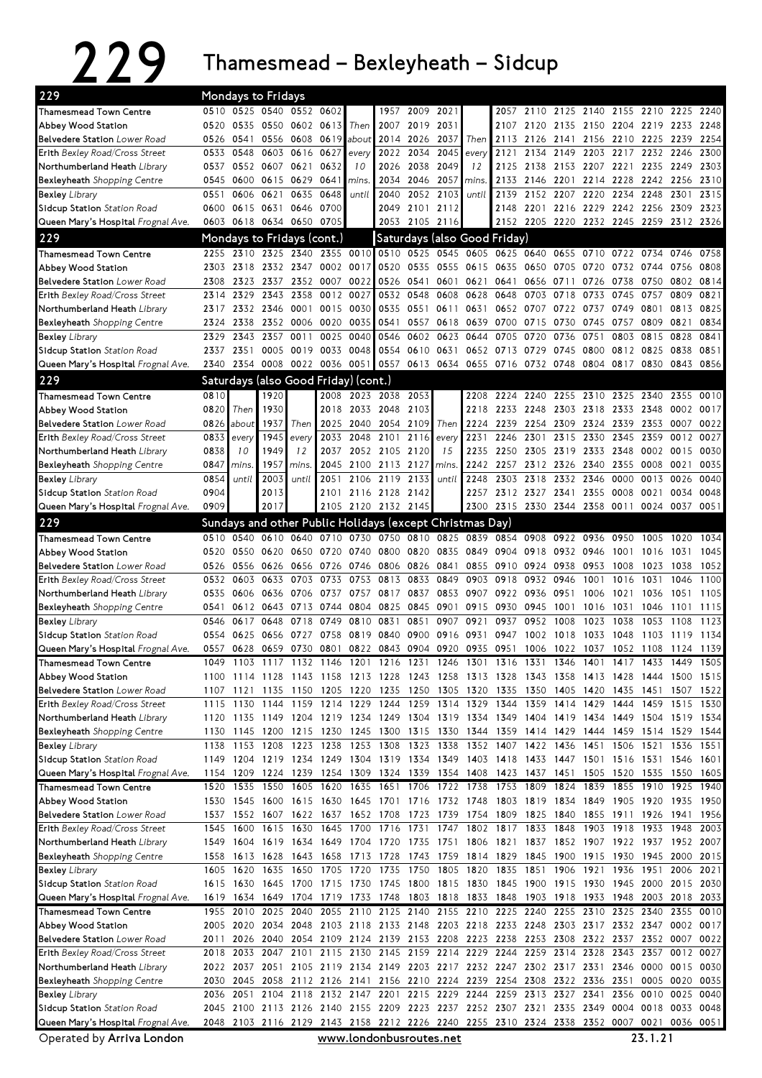## 229 Thamesmead – Bexleyheath – Sidcup

| 229                                                                |              |              | <b>Mondays to Fridays</b> |                                      |              |                     |                     |                                                                                                                                                                                        |              |       |                   |              |                                                                          |              |                     |                |              |              |
|--------------------------------------------------------------------|--------------|--------------|---------------------------|--------------------------------------|--------------|---------------------|---------------------|----------------------------------------------------------------------------------------------------------------------------------------------------------------------------------------|--------------|-------|-------------------|--------------|--------------------------------------------------------------------------|--------------|---------------------|----------------|--------------|--------------|
| <b>Thamesmead Town Centre</b>                                      |              |              |                           | 0510 0525 0540 0552 0602             |              |                     | 1957                | 2009                                                                                                                                                                                   | 2021         |       | 2057              | 2110         | 2125 2140                                                                |              |                     | 2155 2210 2225 |              | 2240         |
| Abbey Wood Station                                                 | 0520         |              |                           | 0535 0550 0602 0613                  |              | Then                | 2007                | 2019 2031                                                                                                                                                                              |              |       | 2107              | 2120         | 2135                                                                     |              | 2150 2204 2219 2233 |                |              | 2248         |
| Belvedere Station Lower Road                                       | 0526         | 0541         |                           | 0556 0608 0619                       |              | about               | 2014                | 2026 2037                                                                                                                                                                              |              | Then  |                   | 2113 2126    | 2141                                                                     |              | 2156 2210 2225      |                | 2239         | 2254         |
| Erith Bexley Road/Cross Street                                     | 0533         | 0548         | 0603                      | 0616                                 | 0627         | every               | 2022                | 2034                                                                                                                                                                                   | 2045         | every | 2121              | 2134         | 2149                                                                     | 2203         | 2217                | 2232           | 2246         | 2300         |
| Northumberland Heath Library                                       | 0537         |              | 0552 0607 0621            |                                      | 0632         | 10                  | 2026                | 2038                                                                                                                                                                                   | 2049         | 12    | 2125              | 2138         | 2153                                                                     | 2207         | 2221                | 2235           | 2249         | 2303         |
| Bexleyheath Shopping Centre                                        | 0545         | 0600         | 0615                      | 0629                                 | 0641         | mins.               | 2034                | 2046                                                                                                                                                                                   | 2057         | mins. | 2133              | 2146         | 2201                                                                     | 2214         | 2228                | 2242           | 2256         | 2310         |
| <b>Bexley</b> Library                                              | 0551         | 0606         | 0621                      | 0635                                 | 0648         | until               | 2040                |                                                                                                                                                                                        | 2052 2103    | until | 2139              | 2152         | 2207                                                                     | 2220         | 2234                | 2248           | 2301         | 2315         |
| <b>Sidcup Station Station Road</b>                                 |              |              | 0600 0615 0631 0646       | 0603 0618 0634 0650 0705             | 0700         |                     | 2049                | 2101 2112<br>2053 2105 2116                                                                                                                                                            |              |       |                   |              | 2148 2201 2216 2229 2242 2256<br>2152 2205 2220 2232 2245 2259 2312 2326 |              |                     |                | 2309         | 2323         |
| Queen Mary's Hospital Frognal Ave.                                 |              |              |                           |                                      |              |                     |                     |                                                                                                                                                                                        |              |       |                   |              |                                                                          |              |                     |                |              |              |
| 229                                                                |              |              |                           | Mondays to Fridays (cont.)           |              |                     |                     | Saturdays (also Good Friday)                                                                                                                                                           |              |       |                   |              |                                                                          |              |                     |                |              |              |
| Thamesmead Town Centre                                             | 2255<br>2303 | 2318         | 2332 2347                 | 2310 2325 2340 2355 0010             | 0002         | 0017                | 0520                | 0510 0525 0545 0605 0625 0640 0655 0710 0722 0734<br>0535                                                                                                                              | 0555         | 0615  | 0635              | 0650         | 0705                                                                     | 0720         | 0732                | 0744           | 0746<br>0756 | 0758<br>0808 |
| Abbey Wood Station<br><b>Belvedere Station</b> Lower Road          | 2308         | 2323         | 2337                      |                                      | 2352 0007    | 0022                | 0526                | 0541                                                                                                                                                                                   | 0601         | 0621  | 0641 0656 0711    |              |                                                                          | 0726         | 0738                | 0750           | 0802         | 0814         |
| <b>Erith Bexley Road/Cross Street</b>                              | 2314         | 2329         | 2343                      | 2358                                 | 0012         | 0027                | 0532                | 0548                                                                                                                                                                                   | 0608         | 0628  | 0648              | 0703         | 0718                                                                     | 0733         | 0745                | 0757           | 0809         | 0821         |
| Northumberland Heath Library                                       | 2317         |              | 2332 2346                 | 0001                                 |              | 0015 0030           | 0535                | 0551                                                                                                                                                                                   | 0611         | 0631  |                   | 0652 0707    | 0722 0737                                                                |              | 0749                | 0801           | 0813         | 0825         |
| <b>Bexleyheath</b> Shopping Centre                                 | 2324         | 2338         | 2352                      | 0006                                 | 0020         | 0035                | 0541                | 0557                                                                                                                                                                                   | 0618         | 0639  | 0700              | 0715         | 0730                                                                     | 0745         | 0757                | 0809           | 0821         | 0834         |
| <b>Bexley</b> Library                                              | 2329         | 2343         | 2357                      | 0011                                 | 0025         | 0040                | 0546                | 0602                                                                                                                                                                                   | 0623         | 0644  | 0705              | 0720         | 0736                                                                     | 0751         | 0803                | 0815           | 0828         | 0841         |
| <b>Sidcup Station Station Road</b>                                 | 2337         | 2351         | 0005                      | 0019                                 | 0033         | 0048                | 0554                | 0610 0631                                                                                                                                                                              |              |       | 0652 0713 0729    |              | 0745                                                                     | 0800         | 0812 0825           |                | 0838         | 0851         |
| Queen Mary's Hospital Frognal Ave.                                 | 2340         |              | 2354 0008                 |                                      |              |                     |                     | 0022 0036 0051 0557 0613 0634 0655 0716 0732 0748                                                                                                                                      |              |       |                   |              |                                                                          |              | 0804 0817 0830      |                | 0843         | 0856         |
| 229                                                                |              |              |                           | Saturdays (also Good Friday) (cont.) |              |                     |                     |                                                                                                                                                                                        |              |       |                   |              |                                                                          |              |                     |                |              |              |
| <b>Thamesmead Town Centre</b>                                      | 0810         |              | 1920                      |                                      | 2008         | 2023 2038           |                     | 2053                                                                                                                                                                                   |              | 2208  | 2224              | 2240         | 2255                                                                     | 2310         | 2325                | 2340           | 2355         | 0010         |
| Abbey Wood Station                                                 | 0820         | Then         | 1930                      |                                      | 2018         | 2033                | 2048                | 2103                                                                                                                                                                                   |              | 2218  | 2233              | 2248         | 2303                                                                     | 2318         | 2333 2348           |                | 0002         | 0017         |
| Belvedere Station Lower Road                                       | 0826         | about        | 1937                      | Then                                 |              | 2025 2040 2054      |                     | 2109                                                                                                                                                                                   | Then         |       | 2224 2239 2254    |              | 2309                                                                     |              | 2324 2339 2353      |                | 0007         | 0022         |
| <b>Erith Bexley Road/Cross Street</b>                              | 0833         | every        | 1945                      | every                                | 2033         | 2048                | 2101                | 2116                                                                                                                                                                                   | every        | 2231  | 2246              | 2301         | 2315                                                                     | 2330         | 2345                | 2359           | 0012         | 0027         |
| Northumberland Heath Library                                       | 0838         | 10           | 1949                      | 12                                   | 2037         |                     | 2052 2105           | 2120                                                                                                                                                                                   | 15           | 2235  | 2250              | 2305         | 2319                                                                     | 2333         | 2348                | 0002           | 0015         | 0030         |
| <b>Bexleyheath</b> Shopping Centre                                 | 0847         | mins.        | 1957                      | mins.                                | 2045         | 2100                | 2113                | 2127                                                                                                                                                                                   | mins.        | 2242  | 2257              | 2312         | 2326                                                                     | 2340         | 2355                | 0008           | 0021         | 0035         |
| <b>Bexley</b> Library                                              | 0854         | until        | 2003                      | until                                | 2051         | 2106                | 2119                | 2133<br>2142                                                                                                                                                                           | until        | 2248  | 2303              | 2318         | 2332                                                                     | 2346         | 0000                | 0013           | 0026<br>0034 | 0040<br>0048 |
| Sidcup Station Station Road<br>Queen Mary's Hospital Frognal Ave.  | 0904<br>0909 |              | 2013<br>2017              |                                      |              | 2101 2116 2128      | 2105 2120 2132 2145 |                                                                                                                                                                                        |              |       |                   |              | 2257 2312 2327 2341<br>2300 2315 2330 2344 2358 0011                     | 2355 0008    |                     | 0021<br>0024   | 0037         | 0051         |
| 229                                                                |              |              |                           |                                      |              |                     |                     |                                                                                                                                                                                        |              |       |                   |              |                                                                          |              |                     |                |              |              |
|                                                                    | 0510         | 0540         | 0610                      | 0640                                 |              | 0710 0730           |                     | Sundays and other Public Holidays (except Christmas Day)<br>0750 0810 0825                                                                                                             |              |       | 0839 0854 0908    |              |                                                                          | 0922 0936    | 0950                | 1005           |              | 1034         |
| <b>Thamesmead Town Centre</b><br>Abbey Wood Station                | 0520         | 0550         | 0620                      | 0650                                 | 0720         | 0740                | 0800                | 0820                                                                                                                                                                                   | 0835         | 0849  | 0904              | 0918         | 0932 0946                                                                |              | 1001                | 1016           | 1020<br>1031 | 1045         |
| Belvedere Station Lower Road                                       | 0526         | 0556         | 0626                      | 0656                                 | 0726 0746    |                     | 0806                | 0826 0841                                                                                                                                                                              |              | 0855  | 0910              | 0924         | 0938                                                                     | 0953         | 1008                | 1023           | 1038         | 1052         |
|                                                                    |              |              |                           |                                      |              |                     |                     |                                                                                                                                                                                        |              |       |                   |              |                                                                          |              |                     |                |              |              |
|                                                                    |              |              |                           |                                      |              |                     |                     |                                                                                                                                                                                        |              |       |                   |              |                                                                          |              |                     |                |              |              |
| Erith Bexley Road/Cross Street                                     | 0532<br>0535 | 0603<br>0606 | 0633<br>0636              | 0703<br>0706                         | 0733<br>0737 | 0753<br>0757        | 0813<br>0817        | 0833<br>0837                                                                                                                                                                           | 0849<br>0853 | 0903  | 0918<br>0907 0922 | 0932<br>0936 | 0946<br>0951                                                             | 1001<br>1006 | 1016<br>1021        | 1031<br>1036   | 1046<br>1051 | 1100<br>1105 |
| Northumberland Heath Library<br><b>Bexleyheath</b> Shopping Centre | 0541         |              | 0612 0643                 | 0713                                 | 0744         | 0804                | 0825                | 0845                                                                                                                                                                                   | 0901         | 0915  | 0930              | 0945         | 1001                                                                     | 1016         | 1031                | 1046           | 1101         | 1115         |
| <b>Bexley</b> Library                                              | 0546         | 0617         | 0648                      | 0718                                 | 0749         | 0810                | 0831                | 0851                                                                                                                                                                                   | 0907         | 0921  | 0937              | 0952         | 1008                                                                     | 1023         | 1038                | 1053           | 1108         | 1123         |
| Sidcup Station Station Road                                        | 0554         | 0625         | 0656                      | 0727                                 | 0758         | 0819                | 0840                | 0900                                                                                                                                                                                   | 0916         | 0931  | 0947              | 1002         | 1018                                                                     | 1033         | 1048                | 1103           | 1119         | 1134         |
| Queen Mary's Hospital Frognal Ave.                                 | 0557         | 0628         | 0659 0730                 |                                      | 0801         | 0822                |                     | 0843 0904 0920                                                                                                                                                                         |              | 0935  | 0951              | 1006         | 1022                                                                     | 1037         | 1052 1108           |                | 1124         | 1139         |
| Thamesmead Town Centre                                             | 1049         |              |                           |                                      |              |                     |                     | 1103 1117 1132 1146 1201 1216 1231 1246 1301 1316 1331 1346 1401                                                                                                                       |              |       |                   |              |                                                                          |              | 1417 1433 1449 1505 |                |              |              |
| Abbey Wood Station                                                 |              |              |                           |                                      |              |                     |                     | 1100 1114 1128 1143 1158 1213 1228 1243 1258 1313 1328 1343 1358 1413 1428 1444 1500 1515                                                                                              |              |       |                   |              |                                                                          |              |                     |                |              |              |
| Belvedere Station Lower Road                                       |              | 1107 1121    |                           |                                      |              |                     |                     | 1135 1150 1205 1220 1235 1250 1305 1320 1335 1350 1405 1420                                                                                                                            |              |       |                   |              |                                                                          |              | 1435 1451           |                |              | 1507 1522    |
| Erith Bexley Road/Cross Street                                     |              |              |                           |                                      |              |                     |                     | 1115 1130 1144 1159 1214 1229 1244 1259 1314 1329 1344 1359 1414 1429                                                                                                                  |              |       |                   |              |                                                                          |              | 1444                | 1459 1515      |              | 1530         |
| Northumberland Heath Library                                       |              |              |                           |                                      |              |                     |                     | 1120 1135 1149 1204 1219 1234 1249 1304 1319 1334 1349 1404 1419 1434 1449 1504 1519 1534                                                                                              |              |       |                   |              |                                                                          |              |                     |                |              |              |
| Bexleyheath Shopping Centre                                        | 1130         | 1145         | 1200                      | 1215 1230                            |              | 1245                | 1300                | 1315 1330                                                                                                                                                                              |              |       | 1344 1359 1414    |              | 1429                                                                     | 1444         | 1459                | 1514 1529      |              | 1544         |
| <b>Bexley</b> Library<br>Sidcup Station Station Road               | 1138<br>1149 | 1153         | 1208                      | 1223                                 | 1238         | 1253                | 1308                | 1323<br>1204 1219 1234 1249 1304 1319 1334 1349 1403 1418 1433 1447 1501 1516 1531 1546 1601                                                                                           | 1338         |       | 1352 1407         | 1422         | 1436                                                                     | 1451         | 1506                | 1521           | 1536         | 1551         |
| Queen Mary's Hospital Frognal Ave.                                 |              | 1154 1209    |                           |                                      |              |                     |                     | 1224 1239 1254 1309 1324 1339 1354 1408 1423 1437 1451                                                                                                                                 |              |       |                   |              |                                                                          |              | 1505 1520 1535      |                |              | 1550 1605    |
| <b>Thamesmead Town Centre</b>                                      | 1520         | 1535         |                           | 1550 1605                            |              | 1620 1635           | 1651 1706           |                                                                                                                                                                                        | 1722 1738    |       | 1753 1809         |              | 1824                                                                     | 1839         |                     | 1855 1910      | 1925         | 1940         |
| Abbey Wood Station                                                 | 1530         | 1545         | 1600                      |                                      |              |                     |                     | 1615 1630 1645 1701 1716 1732 1748                                                                                                                                                     |              |       | 1803 1819 1834    |              |                                                                          | 1849         | 1905 1920           |                | 1935         | 1950         |
| <b>Belvedere Station</b> Lower Road                                | 1537         |              |                           | 1552 1607 1622 1637 1652 1708        |              |                     |                     | 1723 1739                                                                                                                                                                              |              |       |                   |              | 1754 1809 1825 1840 1855 1911 1926                                       |              |                     |                | 1941         | 1956         |
| <b>Erith Bexley Road/Cross Street</b>                              | 1545         | 1600         |                           | 1615 1630                            |              |                     |                     | 1645 1700 1716 1731 1747                                                                                                                                                               |              |       | 1802 1817 1833    |              | 1848                                                                     |              | 1903 1918           | 1933           | 1948         | 2003         |
| Northumberland Heath Library                                       | 1549         |              |                           | 1604 1619 1634 1649 1704 1720        |              |                     |                     | 1735 1751 1806 1821 1837 1852 1907 1922 1937 1952 2007                                                                                                                                 |              |       |                   |              |                                                                          |              |                     |                |              |              |
| Bexleyheath Shopping Centre                                        | 1558         |              | 1613 1628                 |                                      |              | 1643 1658 1713 1728 |                     | 1743 1759 1814 1829 1845 1900 1915 1930 1945                                                                                                                                           |              |       |                   |              |                                                                          |              |                     |                | 2000         | 2015         |
| <b>Bexley</b> Library                                              | 1605         | 1620         | 1635                      | 1650                                 |              | 1705 1720 1735      |                     | 1750 1805 1820 1835 1851 1906                                                                                                                                                          |              |       |                   |              |                                                                          | 1921         | 1936                | 1951           | 2006         | 2021         |
| Sidcup Station Station Road                                        |              | 1615 1630    |                           |                                      |              |                     |                     | 1645 1700 1715 1730 1745 1800 1815 1830 1845 1900 1915 1930 1945 2000 2015 2030                                                                                                        |              |       |                   |              |                                                                          |              |                     |                |              |              |
| Queen Mary's Hospital Frognal Ave.                                 |              |              |                           |                                      |              |                     |                     | 1619 1634 1649 1704 1719 1733 1748 1803 1818 1833 1848 1903 1918 1933 1948 2003 2018 2033                                                                                              |              |       |                   |              |                                                                          |              |                     |                |              | 0010         |
| <b>Thamesmead Town Centre</b><br>Abbey Wood Station                | 2005         | 2020         |                           |                                      |              |                     |                     | 1955 2010 2025 2040 2055 2110 2125 2140 2155 2210 2225 2240 2255 2310 2325 2340 2355<br>2034 2048 2103 2118 2133 2148 2203 2218 2233 2248 2303 2317 2332 2347 0002                     |              |       |                   |              |                                                                          |              |                     |                |              | 0017         |
| Belvedere Station Lower Road                                       | 2011         |              |                           |                                      |              |                     |                     | 2026 2040 2054 2109 2124 2139 2153 2208 2223 2238 2253 2308                                                                                                                            |              |       |                   |              |                                                                          |              | 2322 2337 2352 0007 |                |              | 0022         |
| Erith Bexley Road/Cross Street                                     | 2018         | 2033         |                           |                                      |              |                     |                     | 2047 2101 2115 2130 2145 2159 2214 2229 2244 2259 2314 2328                                                                                                                            |              |       |                   |              |                                                                          |              | 2343 2357           |                | 0012         | 0027         |
| Northumberland Heath Library                                       | 2022         |              |                           |                                      |              |                     |                     | 2037 2051 2105 2119 2134 2149 2203 2217 2232 2247 2302 2317 2331 2346 0000                                                                                                             |              |       |                   |              |                                                                          |              |                     |                |              | 0015 0030    |
| <b>Bexleyheath</b> Shopping Centre                                 | 2030         |              |                           |                                      |              |                     |                     | 2045 2058 2112 2126 2141 2156 2210 2224 2239 2254 2308 2322 2336 2351 0005 0020                                                                                                        |              |       |                   |              |                                                                          |              |                     |                |              | 0035         |
| <b>Bexley</b> Library                                              | 2036         | 2051         |                           |                                      |              |                     |                     | 2104 2118 2132 2147 2201 2215 2229 2244 2259 2313 2327 2341                                                                                                                            |              |       |                   |              |                                                                          |              | 2356                | 0010 0025      |              | 0040         |
| Sidcup Station Station Road<br>Queen Mary's Hospital Frognal Ave.  |              |              |                           |                                      |              |                     |                     | 2045 2100 2113 2126 2140 2155 2209 2223 2237 2252 2307 2321 2335 2349 0004 0018 0033 0048<br>2048 2103 2116 2129 2143 2158 2212 2226 2240 2255 2310 2324 2338 2352 0007 0021 0036 0051 |              |       |                   |              |                                                                          |              |                     |                |              |              |

Operated by Arriva London

www.londonbusroutes.net 23.1.21